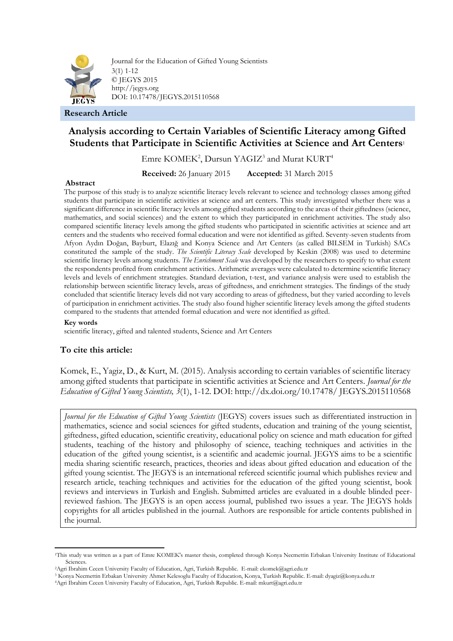

Journal for the Education of Gifted Young Scientists 3(1) 1-12 © JEGYS 2015 http://jegys.org DOI: 10.17478/JEGYS.2015110568

**Research Article**

# **Analysis according to Certain Variables of Scientific Literacy among Gifted Students that Participate in Scientific Activities at Science and Art Centers**<sup>1</sup>

Emre KOMEK<sup>2</sup>, Dursun YAGIZ<sup>3</sup> and Murat KURT<sup>4</sup>

**Received:** 26 January 2015 **Accepted:** 31 March 2015

# **Abstract**

The purpose of this study is to analyze scientific literacy levels relevant to science and technology classes among gifted students that participate in scientific activities at science and art centers. This study investigated whether there was a significant difference in scientific literacy levels among gifted students according to the areas of their giftedness (science, mathematics, and social sciences) and the extent to which they participated in enrichment activities. The study also compared scientific literacy levels among the gifted students who participated in scientific activities at science and art centers and the students who received formal education and were not identified as gifted. Seventy-seven students from Afyon Aydın Doğan, Bayburt, Elazığ and Konya Science and Art Centers (as called BILSEM in Turkish) SACs constituted the sample of the study. *The Scientific Literacy Scale* developed by Keskin (2008) was used to determine scientific literacy levels among students. *The Enrichment Scale* was developed by the researchers to specify to what extent the respondents profited from enrichment activities. Arithmetic averages were calculated to determine scientific literacy levels and levels of enrichment strategies. Standard deviation, t-test, and variance analysis were used to establish the relationship between scientific literacy levels, areas of giftedness, and enrichment strategies. The findings of the study concluded that scientific literacy levels did not vary according to areas of giftedness, but they varied according to levels of participation in enrichment activities. The study also found higher scientific literacy levels among the gifted students compared to the students that attended formal education and were not identified as gifted.

# **Key words**

1

scientific literacy, gifted and talented students, Science and Art Centers

# **To cite this article:**

Komek, E., Yagiz, D., & Kurt, M. (2015). Analysis according to certain variables of scientific literacy among gifted students that participate in scientific activities at Science and Art Centers. *Journal for the Education of Gifted Young Scientists, 3*(1), 1-12. DOI: http://dx.doi.org/10.17478/ JEGYS.2015110568

*Journal for the Education of Gifted Young Scientists* (JEGYS) covers issues such as differentiated instruction in mathematics, science and social sciences for gifted students, education and training of the young scientist, giftedness, gifted education, scientific creativity, educational policy on science and math education for gifted students, teaching of the history and philosophy of science, teaching techniques and activities in the education of the gifted young scientist, is a scientific and academic journal. JEGYS aims to be a scientific media sharing scientific research, practices, theories and ideas about gifted education and education of the gifted young scientist. The JEGYS is an international refereed scientific journal which publishes review and research article, teaching techniques and activities for the education of the gifted young scientist, book reviews and interviews in Turkish and English. Submitted articles are evaluated in a double blinded peerreviewed fashion. The JEGYS is an open access journal, published two issues a year. The JEGYS holds copyrights for all articles published in the journal. Authors are responsible for article contents published in the journal.

<sup>1</sup>This study was written as a part of Emre KOMEK's master thesis, completed through Konya Necmettin Erbakan University Institute of Educational Sciences.

<sup>2</sup>Agri Ibrahim Cecen University Faculty of Education, Agri, Turkish Republic. E-mail: ekomek@agri.edu.tr

<sup>3</sup> Konya Necmettin Erbakan University Ahmet Kelesoglu Faculty of Education, Konya, Turkish Republic. E-mail: dyagiz@konya.edu.tr

<sup>4</sup>Agri Ibrahim Cecen University Faculty of Education, Agri, Turkish Republic. E-mail: mkurt@agri.edu.tr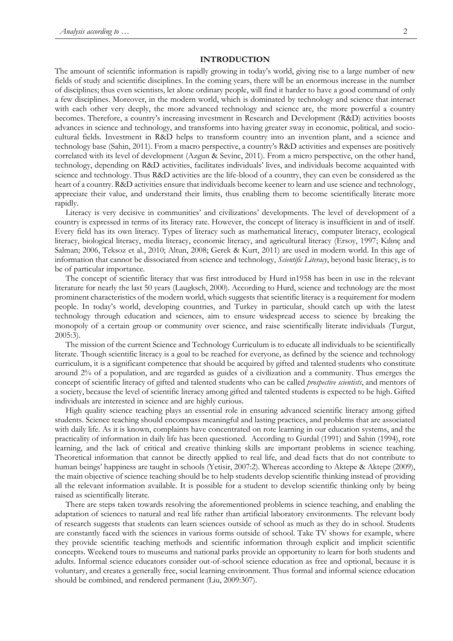### **INTRODUCTION**

The amount of scientific information is rapidly growing in today's world, giving rise to a large number of new fields of study and scientific disciplines. In the coming years, there will be an enormous increase in the number of disciplines; thus even scientists, let alone ordinary people, will find it harder to have a good command of only a few disciplines. Moreover, in the modern world, which is dominated by technology and science that interact with each other very deeply, the more advanced technology and science are, the more powerful a country becomes. Therefore, a country's increasing investment in Research and Development (R&D) activities boosts advances in science and technology, and transforms into having greater sway in economic, political, and sociocultural fields. Investment in R&D helps to transform country into an invention plant, and a science and technology base (Sahin, 2011). From a macro perspective, a country's R&D activities and expenses are positively correlated with its level of development (Azgun & Sevinc, 2011). From a micro perspective, on the other hand, technology, depending on R&D activities, facilitates individuals' lives, and individuals become acquainted with science and technology. Thus R&D activities are the life-blood of a country, they can even be considered as the heart of a country. R&D activities ensure that individuals become keener to learn and use science and technology, appreciate their value, and understand their limits, thus enabling them to become scientifically literate more rapidly.

Literacy is very decisive in communities' and civilizations' developments. The level of development of a country is expressed in terms of its literacy rate. However, the concept of literacy is insufficient in and of itself. Every field has its own literacy. Types of literacy such as mathematical literacy, computer literacy, ecological literacy, biological literacy, media literacy, economic literacy, and agricultural literacy (Ersoy, 1997; Kılınç and Salman; 2006, Teksoz et al., 2010; Altun, 2008; Gerek & Kurt, 2011) are used in modern world. In this age of information that cannot be dissociated from science and technology, *Scientific Literacy*, beyond basic literacy, is to be of particular importance.

The concept of scientific literacy that was first introduced by Hurd in1958 has been in use in the relevant literature for nearly the last 50 years (Laugksch, 2000). According to Hurd, science and technology are the most prominent characteristics of the modern world, which suggests that scientific literacy is a requirement for modern people. In today's world, developing countries, and Turkey in particular, should catch up with the latest technology through education and sciences, aim to ensure widespread access to science by breaking the monopoly of a certain group or community over science, and raise scientifically literate individuals (Turgut, 2005:3).

The mission of the current Science and Technology Curriculum is to educate all individuals to be scientifically literate. Though scientific literacy is a goal to be reached for everyone, as defined by the science and technology curriculum, it is a significant competence that should be acquired by gifted and talented students who constitute around 2% of a population, and are regarded as guides of a civilization and a community. Thus emerges the concept of scientific literacy of gifted and talented students who can be called *prospective scientists*, and mentors of a society, because the level of scientific literacy among gifted and talented students is expected to be high. Gifted individuals are interested in science and are highly curious.

High quality science teaching plays an essential role in ensuring advanced scientific literacy among gifted students. Science teaching should encompass meaningful and lasting practices, and problems that are associated with daily life. As it is known, complaints have concentrated on rote learning in our education systems, and the practicality of information in daily life has been questioned. According to Gurdal (1991) and Sahin (1994), rote learning, and the lack of critical and creative thinking skills are important problems in science teaching. Theoretical information that cannot be directly applied to real life, and dead facts that do not contribute to human beings' happiness are taught in schools (Yetisir, 2007:2). Whereas according to Aktepe & Aktepe (2009), the main objective of science teaching should be to help students develop scientific thinking instead of providing all the relevant information available. It is possible for a student to develop scientific thinking only by being raised as scientifically literate.

There are steps taken towards resolving the aforementioned problems in science teaching, and enabling the adaptation of sciences to natural and real life rather than artificial laboratory environments. The relevant body of research suggests that students can learn sciences outside of school as much as they do in school. Students are constantly faced with the sciences in various forms outside of school. Take TV shows for example, where they provide scientific teaching methods and scientific information through explicit and implicit scientific concepts. Weekend tours to museums and national parks provide an opportunity to learn for both students and adults. Informal science educators consider out-of-school science education as free and optional, because it is voluntary, and creates a generally free, social learning environment. Thus formal and informal science education should be combined, and rendered permanent (Liu, 2009:307).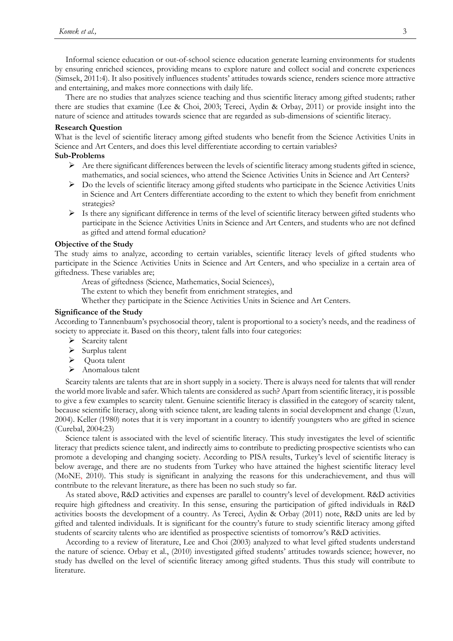Informal science education or out-of-school science education generate learning environments for students by ensuring enriched sciences, providing means to explore nature and collect social and concrete experiences (Simsek, 2011:4). It also positively influences students' attitudes towards science, renders science more attractive and entertaining, and makes more connections with daily life.

There are no studies that analyzes science teaching and thus scientific literacy among gifted students; rather there are studies that examine (Lee & Choi, 2003; Tereci, Aydin & Orbay, 2011) or provide insight into the nature of science and attitudes towards science that are regarded as sub-dimensions of scientific literacy.

### **Research Question**

What is the level of scientific literacy among gifted students who benefit from the Science Activities Units in Science and Art Centers, and does this level differentiate according to certain variables?

# **Sub-Problems**

- $\triangleright$  Are there significant differences between the levels of scientific literacy among students gifted in science, mathematics, and social sciences, who attend the Science Activities Units in Science and Art Centers?
- $\triangleright$  Do the levels of scientific literacy among gifted students who participate in the Science Activities Units in Science and Art Centers differentiate according to the extent to which they benefit from enrichment strategies?
- $\triangleright$  Is there any significant difference in terms of the level of scientific literacy between gifted students who participate in the Science Activities Units in Science and Art Centers, and students who are not defined as gifted and attend formal education?

# **Objective of the Study**

The study aims to analyze, according to certain variables, scientific literacy levels of gifted students who participate in the Science Activities Units in Science and Art Centers, and who specialize in a certain area of giftedness. These variables are;

Areas of giftedness (Science, Mathematics, Social Sciences),

The extent to which they benefit from enrichment strategies, and

Whether they participate in the Science Activities Units in Science and Art Centers.

# **Significance of the Study**

According to Tannenbaum's psychosocial theory, talent is proportional to a society's needs, and the readiness of society to appreciate it. Based on this theory, talent falls into four categories:

- $\triangleright$  Scarcity talent
- $\triangleright$  Surplus talent
- ▶ Quota talent
- > Anomalous talent

Scarcity talents are talents that are in short supply in a society. There is always need for talents that will render the world more livable and safer. Which talents are considered as such? Apart from scientific literacy, it is possible to give a few examples to scarcity talent. Genuine scientific literacy is classified in the category of scarcity talent, because scientific literacy, along with science talent, are leading talents in social development and change (Uzun, 2004). Keller (1980) notes that it is very important in a country to identify youngsters who are gifted in science (Curebal, 2004:23)

Science talent is associated with the level of scientific literacy. This study investigates the level of scientific literacy that predicts science talent, and indirectly aims to contribute to predicting prospective scientists who can promote a developing and changing society. According to PISA results, Turkey's level of scientific literacy is below average, and there are no students from Turkey who have attained the highest scientific literacy level (MoNE, 2010). This study is significant in analyzing the reasons for this underachievement, and thus will contribute to the relevant literature, as there has been no such study so far.

As stated above, R&D activities and expenses are parallel to country's level of development. R&D activities require high giftedness and creativity. In this sense, ensuring the participation of gifted individuals in R&D activities boosts the development of a country. As Tereci, Aydin & Orbay (2011) note, R&D units are led by gifted and talented individuals. It is significant for the country's future to study scientific literacy among gifted students of scarcity talents who are identified as prospective scientists of tomorrow's R&D activities.

According to a review of literature, Lee and Choi (2003) analyzed to what level gifted students understand the nature of science. Orbay et al., (2010) investigated gifted students' attitudes towards science; however, no study has dwelled on the level of scientific literacy among gifted students. Thus this study will contribute to literature.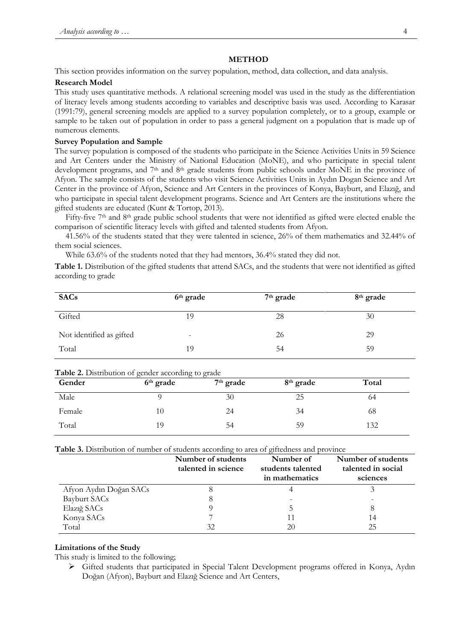# **METHOD**

This section provides information on the survey population, method, data collection, and data analysis.

### **Research Model**

This study uses quantitative methods. A relational screening model was used in the study as the differentiation of literacy levels among students according to variables and descriptive basis was used. According to Karasar (1991:79), general screening models are applied to a survey population completely, or to a group, example or sample to be taken out of population in order to pass a general judgment on a population that is made up of numerous elements.

# **Survey Population and Sample**

The survey population is composed of the students who participate in the Science Activities Units in 59 Science and Art Centers under the Ministry of National Education (MoNE), and who participate in special talent development programs, and 7<sup>th</sup> and 8<sup>th</sup> grade students from public schools under MoNE in the province of Afyon. The sample consists of the students who visit Science Activities Units in Aydın Dogan Science and Art Center in the province of Afyon, Science and Art Centers in the provinces of Konya, Bayburt, and Elazığ, and who participate in special talent development programs. Science and Art Centers are the institutions where the gifted students are educated (Kunt & Tortop, 2013).

Fifty-five 7<sup>th</sup> and 8<sup>th</sup> grade public school students that were not identified as gifted were elected enable the comparison of scientific literacy levels with gifted and talented students from Afyon.

41.56% of the students stated that they were talented in science, 26% of them mathematics and 32.44% of them social sciences.

While 63.6% of the students noted that they had mentors, 36.4% stated they did not.

**Table 1.** Distribution of the gifted students that attend SACs, and the students that were not identified as gifted according to grade

| <b>SACs</b>              | 6 <sup>th</sup> grade    | 7 <sup>th</sup> grade | 8 <sup>th</sup> grade |
|--------------------------|--------------------------|-----------------------|-----------------------|
| Gifted                   | 19                       | 28                    | 30                    |
| Not identified as gifted | $\overline{\phantom{0}}$ | 26                    | 29                    |
| Total                    | 19                       | 54                    | 59                    |

|  | Table 2. Distribution of gender according to grade |  |
|--|----------------------------------------------------|--|
|  |                                                    |  |

| Gender | 6 <sup>th</sup> grade | $7th$ grade | 8 <sup>th</sup> grade | Total |
|--------|-----------------------|-------------|-----------------------|-------|
| Male   |                       | 30          | 25                    | 64    |
| Female | 10                    | 24          | 34                    | 68    |
| Total  | 19                    | 54          | 59                    | 132   |

**Table 3.** Distribution of number of students according to area of giftedness and province

|                        | Number of students<br>talented in science | Number of<br>students talented<br>in mathematics | Number of students<br>talented in social<br>sciences |
|------------------------|-------------------------------------------|--------------------------------------------------|------------------------------------------------------|
| Afyon Aydın Doğan SACs |                                           |                                                  |                                                      |
| Bayburt SACs           | ŏ                                         |                                                  |                                                      |
| Elaziğ SACs            |                                           |                                                  |                                                      |
| Konya SACs             |                                           |                                                  | 14                                                   |
| Total                  | 32                                        | 20                                               | 25                                                   |

### **Limitations of the Study**

This study is limited to the following;

 Gifted students that participated in Special Talent Development programs offered in Konya, Aydın Doğan (Afyon), Bayburt and Elazığ Science and Art Centers,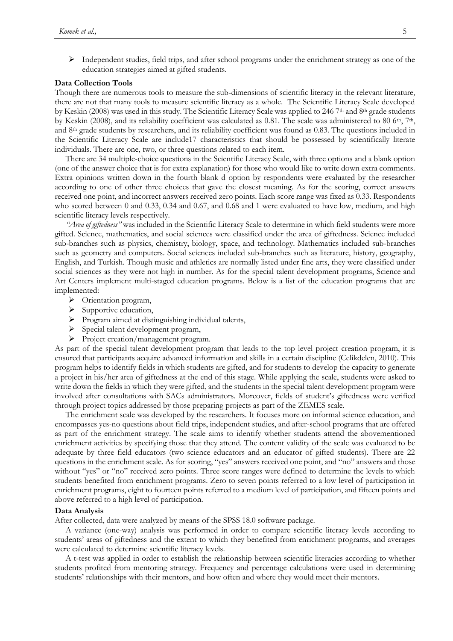$\triangleright$  Independent studies, field trips, and after school programs under the enrichment strategy as one of the education strategies aimed at gifted students.

#### **Data Collection Tools**

Though there are numerous tools to measure the sub-dimensions of scientific literacy in the relevant literature, there are not that many tools to measure scientific literacy as a whole. The Scientific Literacy Scale developed by Keskin (2008) was used in this study. The Scientific Literacy Scale was applied to 246 7<sup>th</sup> and 8<sup>th</sup> grade students by Keskin (2008), and its reliability coefficient was calculated as 0.81. The scale was administered to 80  $6<sup>th</sup>$ , 7<sup>th</sup>, and 8th grade students by researchers, and its reliability coefficient was found as 0.83. The questions included in the Scientific Literacy Scale are include17 characteristics that should be possessed by scientifically literate individuals. There are one, two, or three questions related to each item.

There are 34 multiple-choice questions in the Scientific Literacy Scale, with three options and a blank option (one of the answer choice that is for extra explanation) for those who would like to write down extra comments. Extra opinions written down in the fourth blank d option by respondents were evaluated by the researcher according to one of other three choices that gave the closest meaning. As for the scoring, correct answers received one point, and incorrect answers received zero points. Each score range was fixed as 0.33. Respondents who scored between 0 and 0.33, 0.34 and 0.67, and 0.68 and 1 were evaluated to have low, medium, and high scientific literacy levels respectively.

*"Area of giftedness"* was included in the Scientific Literacy Scale to determine in which field students were more gifted. Science, mathematics, and social sciences were classified under the area of giftedness. Science included sub-branches such as physics, chemistry, biology, space, and technology. Mathematics included sub-branches such as geometry and computers. Social sciences included sub-branches such as literature, history, geography, English, and Turkish. Though music and athletics are normally listed under fine arts, they were classified under social sciences as they were not high in number. As for the special talent development programs, Science and Art Centers implement multi-staged education programs. Below is a list of the education programs that are implemented:

- > Orientation program,
- $\triangleright$  Supportive education,
- Program aimed at distinguishing individual talents,
- $\triangleright$  Special talent development program,
- Project creation/management program.

As part of the special talent development program that leads to the top level project creation program, it is ensured that participants acquire advanced information and skills in a certain discipline (Celikdelen, 2010). This program helps to identify fields in which students are gifted, and for students to develop the capacity to generate a project in his/her area of giftedness at the end of this stage. While applying the scale, students were asked to write down the fields in which they were gifted, and the students in the special talent development program were involved after consultations with SACs administrators. Moreover, fields of student's giftedness were verified through project topics addressed by those preparing projects as part of the ZEMES scale.

The enrichment scale was developed by the researchers. It focuses more on informal science education, and encompasses yes-no questions about field trips, independent studies, and after-school programs that are offered as part of the enrichment strategy. The scale aims to identify whether students attend the abovementioned enrichment activities by specifying those that they attend. The content validity of the scale was evaluated to be adequate by three field educators (two science educators and an educator of gifted students). There are 22 questions in the enrichment scale. As for scoring, "yes" answers received one point, and "no" answers and those without "yes" or "no" received zero points. Three score ranges were defined to determine the levels to which students benefited from enrichment programs. Zero to seven points referred to a low level of participation in enrichment programs, eight to fourteen points referred to a medium level of participation, and fifteen points and above referred to a high level of participation.

### **Data Analysis**

After collected, data were analyzed by means of the SPSS 18.0 software package.

A variance (one-way) analysis was performed in order to compare scientific literacy levels according to students' areas of giftedness and the extent to which they benefited from enrichment programs, and averages were calculated to determine scientific literacy levels.

A t-test was applied in order to establish the relationship between scientific literacies according to whether students profited from mentoring strategy. Frequency and percentage calculations were used in determining students' relationships with their mentors, and how often and where they would meet their mentors.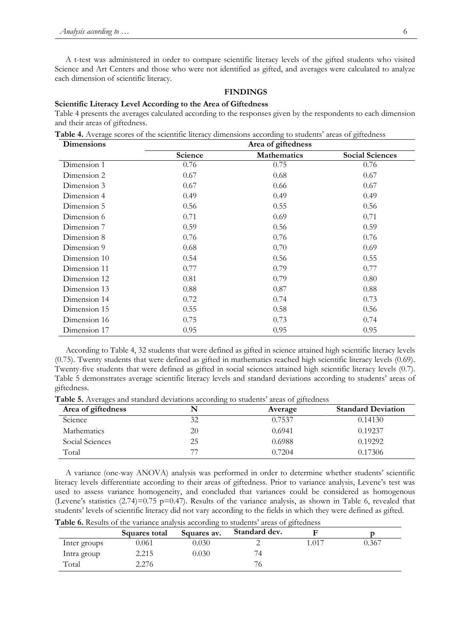A t-test was administered in order to compare scientific literacy levels of the gifted students who visited Science and Art Centers and those who were not identified as gifted, and averages were calculated to analyze each dimension of scientific literacy.

# **FINDINGS**

#### **Scientific Literacy Level According to the Area of Giftedness**

Table 4 presents the averages calculated according to the responses given by the respondents to each dimension and their areas of giftedness.

**Table 4.** Average scores of the scientific literacy dimensions according to students' areas of giftedness

| <b>Dimensions</b> | Area of giftedness |                    |                        |  |  |
|-------------------|--------------------|--------------------|------------------------|--|--|
|                   | Science            | <b>Mathematics</b> | <b>Social Sciences</b> |  |  |
| Dimension 1       | 0.76               | 0.75               | 0.76                   |  |  |
| Dimension 2       | 0.67               | 0.68               | 0.67                   |  |  |
| Dimension 3       | 0.67               | 0.66               | 0.67                   |  |  |
| Dimension 4       | 0.49               | 0.49               | 0.49                   |  |  |
| Dimension 5       | 0.56               | 0.55               | 0.56                   |  |  |
| Dimension 6       | 0.71               | 0.69               | 0.71                   |  |  |
| Dimension 7       | 0.59               | 0.56               | 0.59                   |  |  |
| Dimension 8       | 0.76               | 0.76               | 0.76                   |  |  |
| Dimension 9       | 0.68               | 0.70               | 0.69                   |  |  |
| Dimension 10      | 0.54               | 0.56               | 0.55                   |  |  |
| Dimension 11      | 0.77               | 0.79               | 0.77                   |  |  |
| Dimension 12      | 0.81               | 0.79               | 0.80                   |  |  |
| Dimension 13      | 0.88               | 0.87               | 0.88                   |  |  |
| Dimension 14      | 0.72               | 0.74               | 0.73                   |  |  |
| Dimension 15      | 0.55               | 0.58               | 0.56                   |  |  |
| Dimension 16      | 0.75               | 0.73               | 0.74                   |  |  |
| Dimension 17      | 0.95               | 0.95               | 0.95                   |  |  |

According to Table 4, 32 students that were defined as gifted in science attained high scientific literacy levels (0.75). Twenty students that were defined as gifted in mathematics reached high scientific literacy levels (0.69). Twenty-five students that were defined as gifted in social sciences attained high scientific literacy levels (0.7). Table 5 demonstrates average scientific literacy levels and standard deviations according to students' areas of giftedness.

**Table 5.** Averages and standard deviations according to students' areas of giftedness

| Area of giftedness |    | Average | <b>Standard Deviation</b> |
|--------------------|----|---------|---------------------------|
| Science            | 32 | 0.7537  | 0.14130                   |
| <b>Mathematics</b> | 20 | 0.6941  | 0.19237                   |
| Social Sciences    | 25 | 0.6988  | 0.19292                   |
| Total              | 77 | 0.7204  | 0.17306                   |

A variance (one-way ANOVA) analysis was performed in order to determine whether students' scientific literacy levels differentiate according to their areas of giftedness. Prior to variance analysis, Levene's test was used to assess variance homogeneity, and concluded that variances could be considered as homogenous (Levene's statistics (2.74)=0.75 p=0.47). Results of the variance analysis, as shown in Table 6, revealed that students' levels of scientific literacy did not vary according to the fields in which they were defined as gifted.

|              | Squares total | Squares av. | Standard dev. |       |       |
|--------------|---------------|-------------|---------------|-------|-------|
| Inter groups | 0.061         | 0.030       |               | 1.017 | 0.367 |
| Intra group  | 2.215         | 0.030       | 4             |       |       |
| Total        | 2.276         |             | O             |       |       |

**Table 6.** Results of the variance analysis according to students' areas of giftedness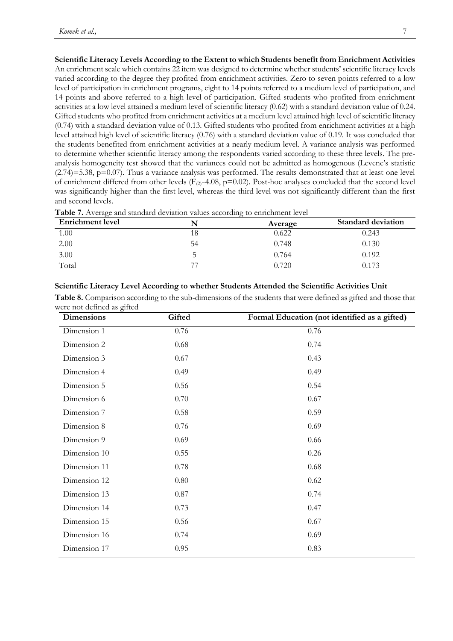**Scientific Literacy Levels According to the Extent to which Students benefit from Enrichment Activities** An enrichment scale which contains 22 item was designed to determine whether students' scientific literacy levels varied according to the degree they profited from enrichment activities. Zero to seven points referred to a low level of participation in enrichment programs, eight to 14 points referred to a medium level of participation, and 14 points and above referred to a high level of participation. Gifted students who profited from enrichment activities at a low level attained a medium level of scientific literacy (0.62) with a standard deviation value of 0.24. Gifted students who profited from enrichment activities at a medium level attained high level of scientific literacy (0.74) with a standard deviation value of 0.13. Gifted students who profited from enrichment activities at a high level attained high level of scientific literacy (0.76) with a standard deviation value of 0.19. It was concluded that the students benefited from enrichment activities at a nearly medium level. A variance analysis was performed to determine whether scientific literacy among the respondents varied according to these three levels. The preanalysis homogeneity test showed that the variances could not be admitted as homogenous (Levene's statistic  $(2.74)=5.38$ ,  $p=0.07$ ). Thus a variance analysis was performed. The results demonstrated that at least one level of enrichment differed from other levels ( $F_{(2)=4.08, p=0.02}$ ). Post-hoc analyses concluded that the second level was significantly higher than the first level, whereas the third level was not significantly different than the first and second levels.

| Table 7. Average and standard deviation values according to enrichment level |  |  |  |
|------------------------------------------------------------------------------|--|--|--|
|                                                                              |  |  |  |

| <b>Enrichment</b> level |    | Average | <b>Standard deviation</b> |
|-------------------------|----|---------|---------------------------|
| 1.00                    |    | 0.622   | 0.243                     |
| 2.00                    | 54 | 0.748   | 0.130                     |
| 3.00                    |    | 0.764   | 0.192                     |
| Total                   |    | 0.720   | 0.173                     |

# **Scientific Literacy Level According to whether Students Attended the Scientific Activities Unit**

**Table 8.** Comparison according to the sub-dimensions of the students that were defined as gifted and those that were not defined as gifted

| <b>Dimensions</b> | Gifted | Formal Education (not identified as a gifted) |
|-------------------|--------|-----------------------------------------------|
| Dimension 1       | 0.76   | 0.76                                          |
| Dimension 2       | 0.68   | 0.74                                          |
| Dimension 3       | 0.67   | 0.43                                          |
| Dimension 4       | 0.49   | 0.49                                          |
| Dimension 5       | 0.56   | 0.54                                          |
| Dimension 6       | 0.70   | 0.67                                          |
| Dimension 7       | 0.58   | 0.59                                          |
| Dimension 8       | 0.76   | 0.69                                          |
| Dimension 9       | 0.69   | 0.66                                          |
| Dimension 10      | 0.55   | 0.26                                          |
| Dimension 11      | 0.78   | 0.68                                          |
| Dimension 12      | 0.80   | 0.62                                          |
| Dimension 13      | 0.87   | 0.74                                          |
| Dimension 14      | 0.73   | 0.47                                          |
| Dimension 15      | 0.56   | 0.67                                          |
| Dimension 16      | 0.74   | 0.69                                          |
| Dimension 17      | 0.95   | 0.83                                          |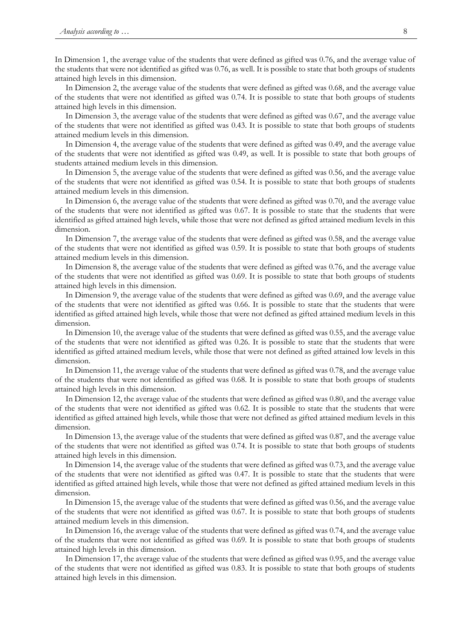In Dimension 1, the average value of the students that were defined as gifted was 0.76, and the average value of the students that were not identified as gifted was 0.76, as well. It is possible to state that both groups of students attained high levels in this dimension.

In Dimension 2, the average value of the students that were defined as gifted was 0.68, and the average value of the students that were not identified as gifted was 0.74. It is possible to state that both groups of students attained high levels in this dimension.

In Dimension 3, the average value of the students that were defined as gifted was 0.67, and the average value of the students that were not identified as gifted was 0.43. It is possible to state that both groups of students attained medium levels in this dimension.

In Dimension 4, the average value of the students that were defined as gifted was 0.49, and the average value of the students that were not identified as gifted was 0.49, as well. It is possible to state that both groups of students attained medium levels in this dimension.

In Dimension 5, the average value of the students that were defined as gifted was 0.56, and the average value of the students that were not identified as gifted was 0.54. It is possible to state that both groups of students attained medium levels in this dimension.

In Dimension 6, the average value of the students that were defined as gifted was 0.70, and the average value of the students that were not identified as gifted was 0.67. It is possible to state that the students that were identified as gifted attained high levels, while those that were not defined as gifted attained medium levels in this dimension.

In Dimension 7, the average value of the students that were defined as gifted was 0.58, and the average value of the students that were not identified as gifted was 0.59. It is possible to state that both groups of students attained medium levels in this dimension.

In Dimension 8, the average value of the students that were defined as gifted was 0.76, and the average value of the students that were not identified as gifted was 0.69. It is possible to state that both groups of students attained high levels in this dimension.

In Dimension 9, the average value of the students that were defined as gifted was 0.69, and the average value of the students that were not identified as gifted was 0.66. It is possible to state that the students that were identified as gifted attained high levels, while those that were not defined as gifted attained medium levels in this dimension.

In Dimension 10, the average value of the students that were defined as gifted was 0.55, and the average value of the students that were not identified as gifted was 0.26. It is possible to state that the students that were identified as gifted attained medium levels, while those that were not defined as gifted attained low levels in this dimension.

In Dimension 11, the average value of the students that were defined as gifted was 0.78, and the average value of the students that were not identified as gifted was 0.68. It is possible to state that both groups of students attained high levels in this dimension.

In Dimension 12, the average value of the students that were defined as gifted was 0.80, and the average value of the students that were not identified as gifted was 0.62. It is possible to state that the students that were identified as gifted attained high levels, while those that were not defined as gifted attained medium levels in this dimension.

In Dimension 13, the average value of the students that were defined as gifted was 0.87, and the average value of the students that were not identified as gifted was 0.74. It is possible to state that both groups of students attained high levels in this dimension.

In Dimension 14, the average value of the students that were defined as gifted was 0.73, and the average value of the students that were not identified as gifted was 0.47. It is possible to state that the students that were identified as gifted attained high levels, while those that were not defined as gifted attained medium levels in this dimension.

In Dimension 15, the average value of the students that were defined as gifted was 0.56, and the average value of the students that were not identified as gifted was 0.67. It is possible to state that both groups of students attained medium levels in this dimension.

In Dimension 16, the average value of the students that were defined as gifted was 0.74, and the average value of the students that were not identified as gifted was 0.69. It is possible to state that both groups of students attained high levels in this dimension.

In Dimension 17, the average value of the students that were defined as gifted was 0.95, and the average value of the students that were not identified as gifted was 0.83. It is possible to state that both groups of students attained high levels in this dimension.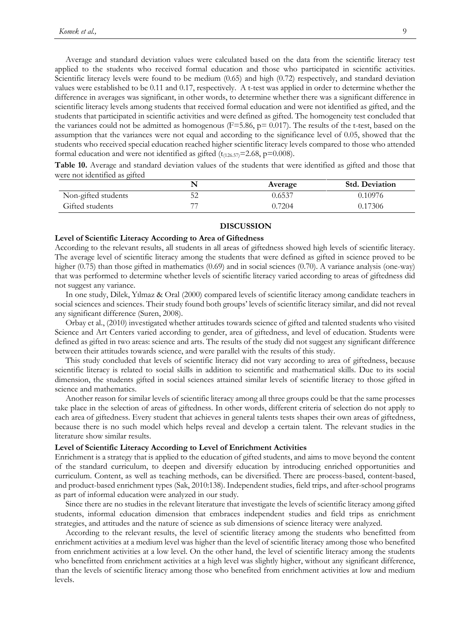Average and standard deviation values were calculated based on the data from the scientific literacy test applied to the students who received formal education and those who participated in scientific activities. Scientific literacy levels were found to be medium (0.65) and high (0.72) respectively, and standard deviation values were established to be 0.11 and 0.17, respectively. A t-test was applied in order to determine whether the difference in averages was significant, in other words, to determine whether there was a significant difference in scientific literacy levels among students that received formal education and were not identified as gifted, and the students that participated in scientific activities and were defined as gifted. The homogeneity test concluded that the variances could not be admitted as homogenous ( $F=5.86$ ,  $p=0.017$ ). The results of the t-test, based on the assumption that the variances were not equal and according to the significance level of 0.05, showed that the students who received special education reached higher scientific literacy levels compared to those who attended formal education and were not identified as gifted  $(t_{(126.57)}=2.68, p=0.008)$ .

**Table 10.** Average and standard deviation values of the students that were identified as gifted and those that were not identified as gifted

|                     |    | Average | <b>Std. Deviation</b> |
|---------------------|----|---------|-----------------------|
| Non-gifted students | 52 | 0.6537  | 0.10976               |
| Gifted students     | 77 | 0.7204  | 0.17306               |

### **DISCUSSION**

### **Level of Scientific Literacy According to Area of Giftedness**

According to the relevant results, all students in all areas of giftedness showed high levels of scientific literacy. The average level of scientific literacy among the students that were defined as gifted in science proved to be higher (0.75) than those gifted in mathematics (0.69) and in social sciences (0.70). A variance analysis (one-way) that was performed to determine whether levels of scientific literacy varied according to areas of giftedness did not suggest any variance.

In one study, Dilek, Yılmaz & Oral (2000) compared levels of scientific literacy among candidate teachers in social sciences and sciences. Their study found both groups' levels of scientific literacy similar, and did not reveal any significant difference (Suren, 2008).

Orbay et al., (2010) investigated whether attitudes towards science of gifted and talented students who visited Science and Art Centers varied according to gender, area of giftedness, and level of education. Students were defined as gifted in two areas: science and arts. The results of the study did not suggest any significant difference between their attitudes towards science, and were parallel with the results of this study.

This study concluded that levels of scientific literacy did not vary according to area of giftedness, because scientific literacy is related to social skills in addition to scientific and mathematical skills. Due to its social dimension, the students gifted in social sciences attained similar levels of scientific literacy to those gifted in science and mathematics.

Another reason for similar levels of scientific literacy among all three groups could be that the same processes take place in the selection of areas of giftedness. In other words, different criteria of selection do not apply to each area of giftedness. Every student that achieves in general talents tests shapes their own areas of giftedness, because there is no such model which helps reveal and develop a certain talent. The relevant studies in the literature show similar results.

### **Level of Scientific Literacy According to Level of Enrichment Activities**

Enrichment is a strategy that is applied to the education of gifted students, and aims to move beyond the content of the standard curriculum, to deepen and diversify education by introducing enriched opportunities and curriculum. Content, as well as teaching methods, can be diversified. There are process-based, content-based, and product-based enrichment types (Sak, 2010:138). Independent studies, field trips, and after-school programs as part of informal education were analyzed in our study.

Since there are no studies in the relevant literature that investigate the levels of scientific literacy among gifted students, informal education dimension that embraces independent studies and field trips as enrichment strategies, and attitudes and the nature of science as sub dimensions of science literacy were analyzed.

According to the relevant results, the level of scientific literacy among the students who benefitted from enrichment activities at a medium level was higher than the level of scientific literacy among those who benefited from enrichment activities at a low level. On the other hand, the level of scientific literacy among the students who benefitted from enrichment activities at a high level was slightly higher, without any significant difference, than the levels of scientific literacy among those who benefited from enrichment activities at low and medium levels.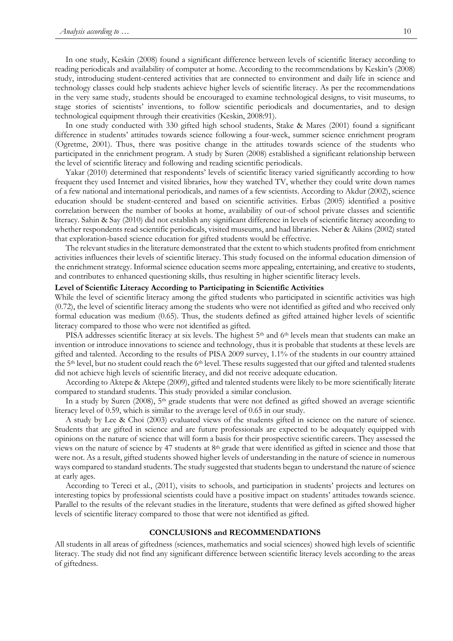In one study, Keskin (2008) found a significant difference between levels of scientific literacy according to reading periodicals and availability of computer at home. According to the recommendations by Keskin's (2008) study, introducing student-centered activities that are connected to environment and daily life in science and technology classes could help students achieve higher levels of scientific literacy. As per the recommendations in the very same study, students should be encouraged to examine technological designs, to visit museums, to stage stories of scientists' inventions, to follow scientific periodicals and documentaries, and to design technological equipment through their creativities (Keskin, 2008:91).

In one study conducted with 330 gifted high school students, Stake & Mares (2001) found a significant difference in students' attitudes towards science following a four-week, summer science enrichment program (Ogretme, 2001). Thus, there was positive change in the attitudes towards science of the students who participated in the enrichment program. A study by Suren (2008) established a significant relationship between the level of scientific literacy and following and reading scientific periodicals.

Yakar (2010) determined that respondents' levels of scientific literacy varied significantly according to how frequent they used Internet and visited libraries, how they watched TV, whether they could write down names of a few national and international periodicals, and names of a few scientists. According to Akdur (2002), science education should be student-centered and based on scientific activities. Erbas (2005) identified a positive correlation between the number of books at home, availability of out-of school private classes and scientific literacy. Sahin & Say (2010) did not establish any significant difference in levels of scientific literacy according to whether respondents read scientific periodicals, visited museums, and had libraries. Neber & Aikins (2002) stated that exploration-based science education for gifted students would be effective.

The relevant studies in the literature demonstrated that the extent to which students profited from enrichment activities influences their levels of scientific literacy. This study focused on the informal education dimension of the enrichment strategy. Informal science education seems more appealing, entertaining, and creative to students, and contributes to enhanced questioning skills, thus resulting in higher scientific literacy levels.

#### **Level of Scientific Literacy According to Participating in Scientific Activities**

While the level of scientific literacy among the gifted students who participated in scientific activities was high (0.72), the level of scientific literacy among the students who were not identified as gifted and who received only formal education was medium (0.65). Thus, the students defined as gifted attained higher levels of scientific literacy compared to those who were not identified as gifted.

PISA addresses scientific literacy at six levels. The highest 5<sup>th</sup> and 6<sup>th</sup> levels mean that students can make an invention or introduce innovations to science and technology, thus it is probable that students at these levels are gifted and talented. According to the results of PISA 2009 survey, 1.1% of the students in our country attained the 5<sup>th</sup> level, but no student could reach the 6<sup>th</sup> level. These results suggested that our gifted and talented students did not achieve high levels of scientific literacy, and did not receive adequate education.

According to Aktepe & Aktepe (2009), gifted and talented students were likely to be more scientifically literate compared to standard students. This study provided a similar conclusion.

In a study by Suren (2008), 5<sup>th</sup> grade students that were not defined as gifted showed an average scientific literacy level of 0.59, which is similar to the average level of 0.65 in our study.

A study by Lee & Choi (2003) evaluated views of the students gifted in science on the nature of science. Students that are gifted in science and are future professionals are expected to be adequately equipped with opinions on the nature of science that will form a basis for their prospective scientific careers. They assessed the views on the nature of science by 47 students at  $8<sup>th</sup>$  grade that were identified as gifted in science and those that were not. As a result, gifted students showed higher levels of understanding in the nature of science in numerous ways compared to standard students. The study suggested that students began to understand the nature of science at early ages.

According to Tereci et al., (2011), visits to schools, and participation in students' projects and lectures on interesting topics by professional scientists could have a positive impact on students' attitudes towards science. Parallel to the results of the relevant studies in the literature, students that were defined as gifted showed higher levels of scientific literacy compared to those that were not identified as gifted.

### **CONCLUSIONS and RECOMMENDATIONS**

All students in all areas of giftedness (sciences, mathematics and social sciences) showed high levels of scientific literacy. The study did not find any significant difference between scientific literacy levels according to the areas of giftedness.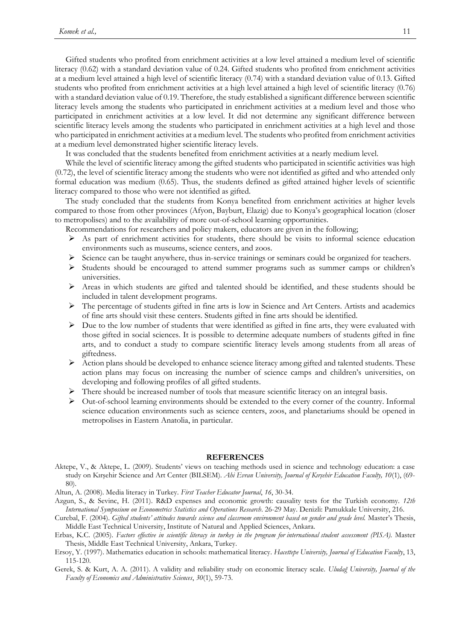Gifted students who profited from enrichment activities at a low level attained a medium level of scientific literacy (0.62) with a standard deviation value of 0.24. Gifted students who profited from enrichment activities at a medium level attained a high level of scientific literacy (0.74) with a standard deviation value of 0.13. Gifted students who profited from enrichment activities at a high level attained a high level of scientific literacy (0.76) with a standard deviation value of 0.19. Therefore, the study established a significant difference between scientific literacy levels among the students who participated in enrichment activities at a medium level and those who participated in enrichment activities at a low level. It did not determine any significant difference between scientific literacy levels among the students who participated in enrichment activities at a high level and those who participated in enrichment activities at a medium level. The students who profited from enrichment activities at a medium level demonstrated higher scientific literacy levels.

It was concluded that the students benefited from enrichment activities at a nearly medium level.

While the level of scientific literacy among the gifted students who participated in scientific activities was high (0.72), the level of scientific literacy among the students who were not identified as gifted and who attended only formal education was medium (0.65). Thus, the students defined as gifted attained higher levels of scientific literacy compared to those who were not identified as gifted.

The study concluded that the students from Konya benefited from enrichment activities at higher levels compared to those from other provinces (Afyon, Bayburt, Elazig) due to Konya's geographical location (closer to metropolises) and to the availability of more out-of-school learning opportunities.

Recommendations for researchers and policy makers, educators are given in the following;

- As part of enrichment activities for students, there should be visits to informal science education environments such as museums, science centers, and zoos.
- $\triangleright$  Science can be taught anywhere, thus in-service trainings or seminars could be organized for teachers.
- Students should be encouraged to attend summer programs such as summer camps or children's universities.
- Areas in which students are gifted and talented should be identified, and these students should be included in talent development programs.
- $\triangleright$  The percentage of students gifted in fine arts is low in Science and Art Centers. Artists and academics of fine arts should visit these centers. Students gifted in fine arts should be identified.
- $\triangleright$  Due to the low number of students that were identified as gifted in fine arts, they were evaluated with those gifted in social sciences. It is possible to determine adequate numbers of students gifted in fine arts, and to conduct a study to compare scientific literacy levels among students from all areas of giftedness.
- $\triangleright$  Action plans should be developed to enhance science literacy among gifted and talented students. These action plans may focus on increasing the number of science camps and children's universities, on developing and following profiles of all gifted students.
- There should be increased number of tools that measure scientific literacy on an integral basis.
- $\triangleright$  Out-of-school learning environments should be extended to the every corner of the country. Informal science education environments such as science centers, zoos, and planetariums should be opened in metropolises in Eastern Anatolia, in particular.

### **REFERENCES**

Aktepe, V., & Aktepe, L. (2009). Students' views on teaching methods used in science and technology education: a case study on Kırşehir Science and Art Center (BILSEM). *Ahi Evran University, Journal of Kırşehir Education Faculty, 10*(1), (69- 80).

Altun, A. (2008). Media literacy in Turkey. *First Teacher Educator Journal*, *16*, 30-34.

- Azgun, S., & Sevinc, H. (2011). R&D expenses and economic growth: causality tests for the Turkish economy. *12th International Symposium on Econometrics Statistics and Operations Research*. 26-29 May. Denizli: Pamukkale University, 216.
- Curebal, F. (2004). *Gifted students' attitudes towards science and classroom environment based on gender and grade level*. Master's Thesis, Middle East Technical University, Institute of Natural and Applied Sciences, Ankara.
- Erbas, K.C. (2005). Factors effective in scientific literacy in turkey in the program for international student assessment (PISA). Master Thesis, Middle East Technical University, Ankara, Turkey.
- Ersoy, Y. (1997). Mathematics education in schools: mathematical literacy*. Hacettepe University, Journal of Education Faculty*, 13, 115-120.
- Gerek, S. & Kurt, A. A. (2011). A validity and reliability study on economic literacy scale. *Uludağ University, Journal of the Faculty of Economics and Administrative Sciences*, *30*(1), 59-73.